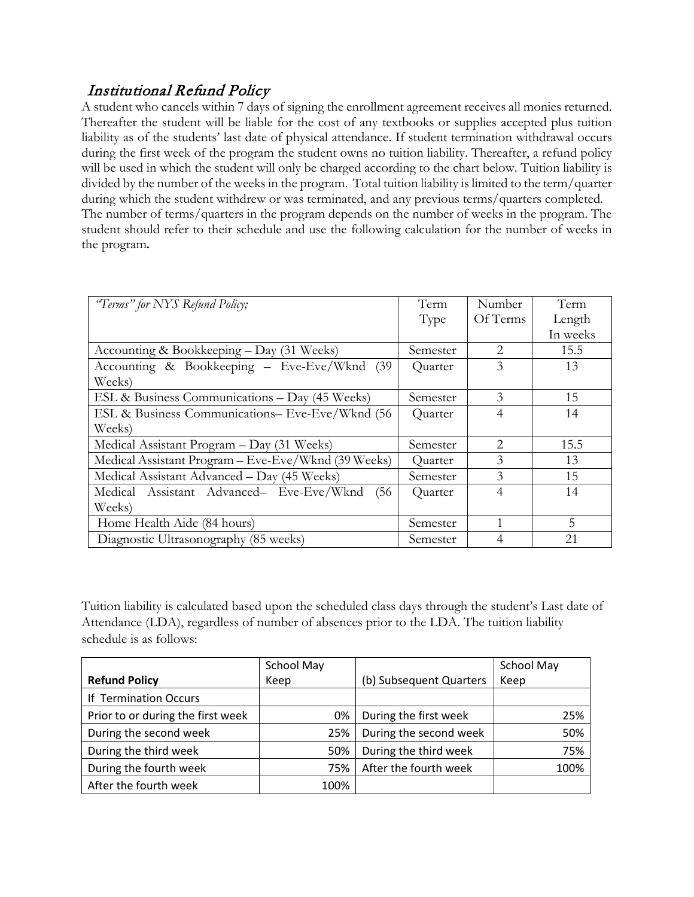## Institutional Refund Policy

A student who cancels within 7 days of signing the enrollment agreement receives all monies returned. Thereafter the student will be liable for the cost of any textbooks or supplies accepted plus tuition liability as of the students' last date of physical attendance. If student termination withdrawal occurs during the first week of the program the student owns no tuition liability. Thereafter, a refund policy will be used in which the student will only be charged according to the chart below. Tuition liability is divided by the number of the weeks in the program. Total tuition liability is limited to the term/quarter during which the student withdrew or was terminated, and any previous terms/quarters completed. The number of terms/quarters in the program depends on the number of weeks in the program. The student should refer to their schedule and use the following calculation for the number of weeks in the program**.** 

| "Terms" for NYS Refund Policy;                      | Term     | Number                        | Term     |
|-----------------------------------------------------|----------|-------------------------------|----------|
|                                                     | Type     | Of Terms                      | Length   |
|                                                     |          |                               | In weeks |
| Accounting & Bookkeeping - Day (31 Weeks)           | Semester | $\mathcal{D}_{\mathcal{L}}$   | 15.5     |
| Accounting & Bookkeeping - Eve-Eve/Wknd (39)        | Quarter  | 3                             | 13       |
| Weeks)                                              |          |                               |          |
| ESL & Business Communications - Day (45 Weeks)      | Semester | 3                             | 15       |
| ESL & Business Communications- Eve-Eve/Wknd (56     | Quarter  | $\overline{4}$                | 14       |
| Weeks)                                              |          |                               |          |
| Medical Assistant Program – Day (31 Weeks)          | Semester | $\mathfrak{D}_{\mathfrak{p}}$ | 15.5     |
| Medical Assistant Program – Eve-Eve/Wknd (39 Weeks) | Quarter  | 3                             | 13       |
| Medical Assistant Advanced – Day (45 Weeks)         | Semester | 3                             | 15       |
| Medical Assistant Advanced- Eve-Eve/Wknd<br>(56)    | Quarter  | $\overline{4}$                | 14       |
| Weeks)                                              |          |                               |          |
| Home Health Aide (84 hours)                         | Semester |                               | 5        |
| Diagnostic Ultrasonography (85 weeks)               | Semester | $\overline{4}$                | 21       |

Tuition liability is calculated based upon the scheduled class days through the student's Last date of Attendance (LDA), regardless of number of absences prior to the LDA. The tuition liability schedule is as follows:

|                                   | School May |                         | School May |
|-----------------------------------|------------|-------------------------|------------|
| <b>Refund Policy</b>              | Keep       | (b) Subsequent Quarters | Keep       |
| If Termination Occurs             |            |                         |            |
| Prior to or during the first week | 0%         | During the first week   | 25%        |
| During the second week            | 25%        | During the second week  | 50%        |
| During the third week             | 50%        | During the third week   | 75%        |
| During the fourth week            | 75%        | After the fourth week   | 100%       |
| After the fourth week             | 100%       |                         |            |